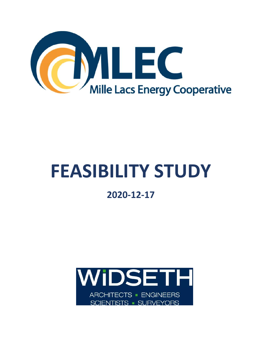

## **FEASIBILITY STUDY**

## **2020-12-17**